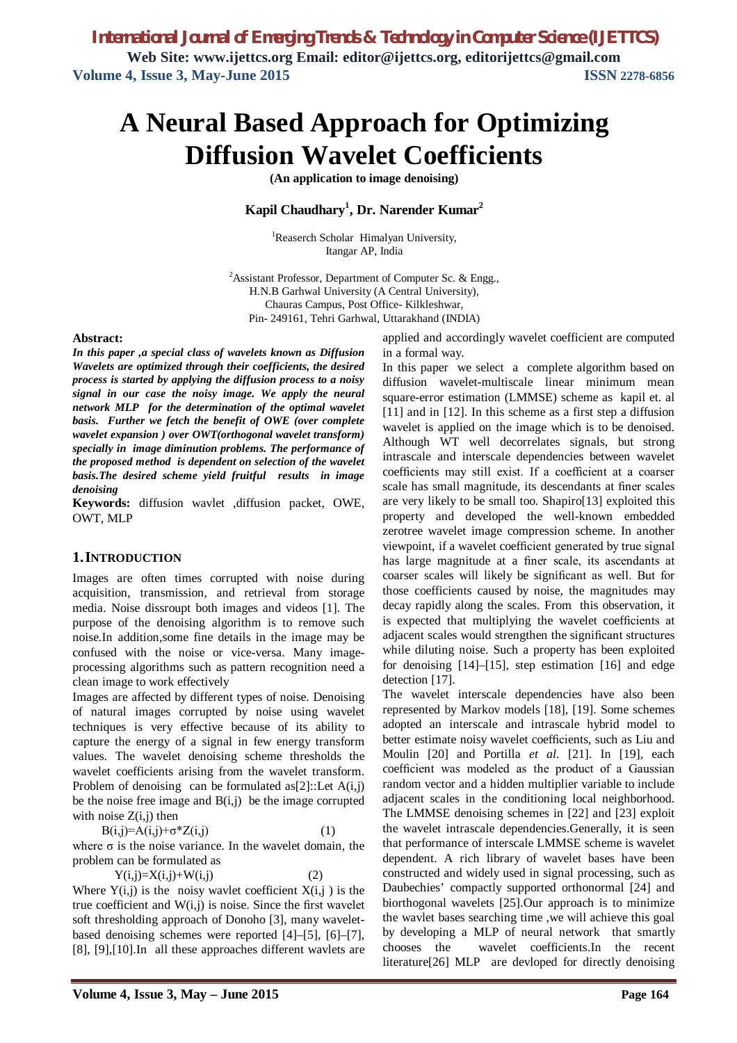# **A Neural Based Approach for Optimizing Diffusion Wavelet Coefficients**

**(An application to image denoising)**

**Kapil Chaudhary<sup>1</sup> , Dr. Narender Kumar<sup>2</sup>**

<sup>1</sup>Reaserch Scholar Himalyan University, Itangar AP, India

<sup>2</sup>Assistant Professor, Department of Computer Sc. & Engg., H.N.B Garhwal University (A Central University), Chauras Campus, Post Office- Kilkleshwar, Pin- 249161, Tehri Garhwal, Uttarakhand (INDIA)

#### **Abstract:**

*In this paper ,a special class of wavelets known as Diffusion Wavelets are optimized through their coefficients, the desired process is started by applying the diffusion process to a noisy signal in our case the noisy image. We apply the neural network MLP for the determination of the optimal wavelet basis. Further we fetch the benefit of OWE (over complete wavelet expansion ) over OWT(orthogonal wavelet transform) specially in image diminution problems. The performance of the proposed method is dependent on selection of the wavelet basis.The desired scheme yield fruitful results in image denoising* 

**Keywords:** diffusion wavlet ,diffusion packet, OWE, OWT, MLP

#### **1.INTRODUCTION**

Images are often times corrupted with noise during acquisition, transmission, and retrieval from storage media. Noise dissroupt both images and videos [1]. The purpose of the denoising algorithm is to remove such noise.In addition,some fine details in the image may be confused with the noise or vice-versa. Many imageprocessing algorithms such as pattern recognition need a clean image to work effectively

Images are affected by different types of noise. Denoising of natural images corrupted by noise using wavelet techniques is very effective because of its ability to capture the energy of a signal in few energy transform values. The wavelet denoising scheme thresholds the wavelet coefficients arising from the wavelet transform. Problem of denoising can be formulated as[2]::Let  $A(i,j)$ be the noise free image and  $B(i,j)$  be the image corrupted with noise  $Z(i,j)$  then

 $B(i,j)=A(i,j)+\sigma^*Z(i,j)$  (1)

where  $\sigma$  is the noise variance. In the wavelet domain, the problem can be formulated as

 $Y(i,j)=X(i,j)+W(i,j)$  (2)

Where  $Y(i,j)$  is the noisy wavlet coefficient  $X(i,j)$  is the true coefficient and  $W(i,j)$  is noise. Since the first wavelet soft thresholding approach of Donoho [3], many waveletbased denoising schemes were reported [4]–[5], [6]–[7], [8], [9],[10].In all these approaches different wavlets are applied and accordingly wavelet coefficient are computed in a formal way.

In this paper we select a complete algorithm based on diffusion wavelet-multiscale linear minimum mean square-error estimation (LMMSE) scheme as kapil et. al [11] and in [12]. In this scheme as a first step a diffusion wavelet is applied on the image which is to be denoised. Although WT well decorrelates signals, but strong intrascale and interscale dependencies between wavelet coefficients may still exist. If a coefficient at a coarser scale has small magnitude, its descendants at finer scales are very likely to be small too. Shapiro[13] exploited this property and developed the well-known embedded zerotree wavelet image compression scheme. In another viewpoint, if a wavelet coefficient generated by true signal has large magnitude at a finer scale, its ascendants at coarser scales will likely be significant as well. But for those coefficients caused by noise, the magnitudes may decay rapidly along the scales. From this observation, it is expected that multiplying the wavelet coefficients at adjacent scales would strengthen the significant structures while diluting noise. Such a property has been exploited for denoising [14]–[15], step estimation [16] and edge detection [17].

The wavelet interscale dependencies have also been represented by Markov models [18], [19]. Some schemes adopted an interscale and intrascale hybrid model to better estimate noisy wavelet coefficients, such as Liu and Moulin [20] and Portilla *et al.* [21]. In [19], each coefficient was modeled as the product of a Gaussian random vector and a hidden multiplier variable to include adjacent scales in the conditioning local neighborhood. The LMMSE denoising schemes in [22] and [23] exploit the wavelet intrascale dependencies.Generally, it is seen that performance of interscale LMMSE scheme is wavelet dependent. A rich library of wavelet bases have been constructed and widely used in signal processing, such as Daubechies' compactly supported orthonormal [24] and biorthogonal wavelets [25].Our approach is to minimize the wavlet bases searching time ,we will achieve this goal by developing a MLP of neural network that smartly chooses the wavelet coefficients.In the recent literature[26] MLP are devloped for directly denoising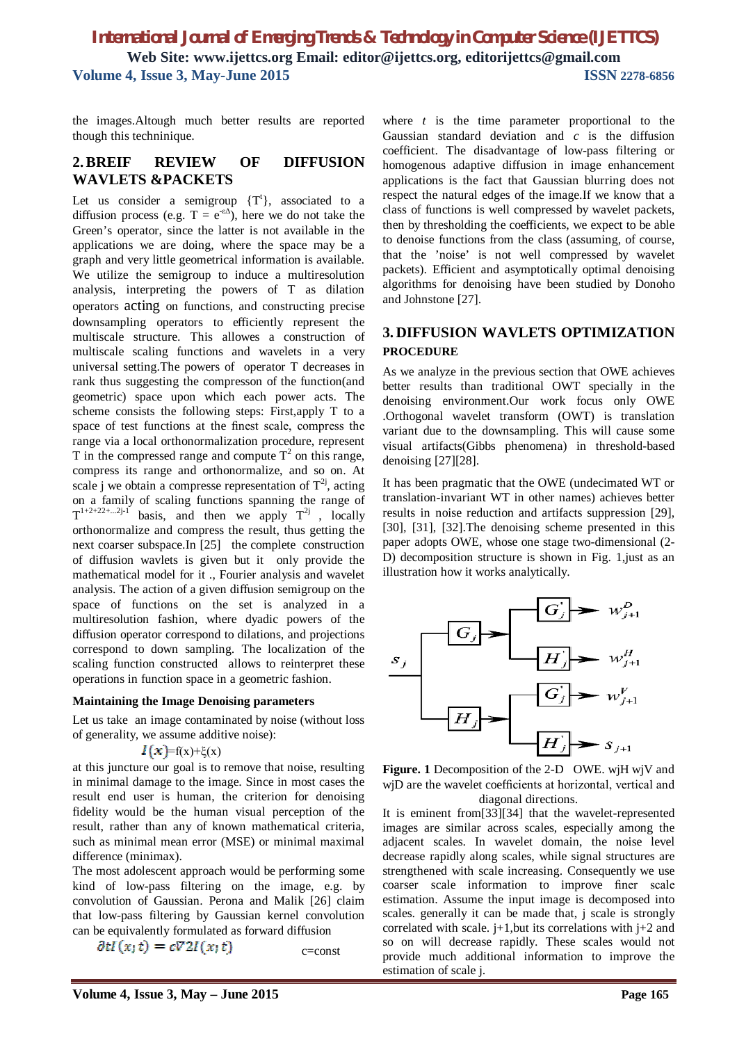the images.Altough much better results are reported though this techninique.

### **2.BREIF REVIEW OF DIFFUSION WAVLETS &PACKETS**

Let us consider a semigroup  $\{T^t\}$ , associated to a diffusion process (e.g.  $T = e^{-\epsilon \Delta}$ ), here we do not take the Green's operator, since the latter is not available in the applications we are doing, where the space may be a graph and very little geometrical information is available. We utilize the semigroup to induce a multiresolution analysis, interpreting the powers of T as dilation operators acting on functions, and constructing precise downsampling operators to efficiently represent the multiscale structure. This allowes a construction of multiscale scaling functions and wavelets in a very universal setting.The powers of operator T decreases in rank thus suggesting the compresson of the function(and geometric) space upon which each power acts. The scheme consists the following steps: First,apply T to a space of test functions at the finest scale, compress the range via a local orthonormalization procedure, represent T in the compressed range and compute  $T^2$  on this range, compress its range and orthonormalize, and so on. At scale j we obtain a compresse representation of  $T^{2j}$ , acting on a family of scaling functions spanning the range of  $T^{1+2+22+...2j-1}$  basis, and then we apply  $T^{2j}$ , locally orthonormalize and compress the result, thus getting the next coarser subspace.In [25] the complete construction of diffusion wavlets is given but it only provide the mathematical model for it ., Fourier analysis and wavelet analysis. The action of a given diffusion semigroup on the space of functions on the set is analyzed in a multiresolution fashion, where dyadic powers of the diffusion operator correspond to dilations, and projections correspond to down sampling. The localization of the scaling function constructed allows to reinterpret these operations in function space in a geometric fashion.

#### **Maintaining the Image Denoising parameters**

Let us take an image contaminated by noise (without loss of generality, we assume additive noise):

$$
I(x)=f(x)+\xi(x)
$$

at this juncture our goal is to remove that noise, resulting in minimal damage to the image. Since in most cases the result end user is human, the criterion for denoising fidelity would be the human visual perception of the result, rather than any of known mathematical criteria, such as minimal mean error (MSE) or minimal maximal difference (minimax).

The most adolescent approach would be performing some kind of low-pass filtering on the image, e.g. by convolution of Gaussian. Perona and Malik [26] claim that low-pass filtering by Gaussian kernel convolution can be equivalently formulated as forward diffusion

$$
\partial t I(x;t) = c \nabla 2I(x;t) \qquad \qquad \text{c=const}
$$

where *t* is the time parameter proportional to the Gaussian standard deviation and *c* is the diffusion coefficient. The disadvantage of low-pass filtering or homogenous adaptive diffusion in image enhancement applications is the fact that Gaussian blurring does not respect the natural edges of the image.If we know that a class of functions is well compressed by wavelet packets, then by thresholding the coefficients, we expect to be able to denoise functions from the class (assuming, of course, that the 'noise' is not well compressed by wavelet packets). Efficient and asymptotically optimal denoising algorithms for denoising have been studied by Donoho and Johnstone [27].

## **3. DIFFUSION WAVLETS OPTIMIZATION PROCEDURE**

As we analyze in the previous section that OWE achieves better results than traditional OWT specially in the denoising environment.Our work focus only OWE .Orthogonal wavelet transform (OWT) is translation variant due to the downsampling. This will cause some visual artifacts(Gibbs phenomena) in threshold-based denoising [27][28].

It has been pragmatic that the OWE (undecimated WT or translation-invariant WT in other names) achieves better results in noise reduction and artifacts suppression [29], [30], [31], [32].The denoising scheme presented in this paper adopts OWE, whose one stage two-dimensional (2- D) decomposition structure is shown in Fig. 1,just as an illustration how it works analytically.



**Figure. 1** Decomposition of the 2-D OWE. wjH wjV and wjD are the wavelet coefficients at horizontal, vertical and diagonal directions.

It is eminent from[33][34] that the wavelet-represented images are similar across scales, especially among the adjacent scales. In wavelet domain, the noise level decrease rapidly along scales, while signal structures are strengthened with scale increasing. Consequently we use coarser scale information to improve finer scale estimation. Assume the input image is decomposed into scales. generally it can be made that, j scale is strongly correlated with scale.  $j+1$ , but its correlations with  $j+2$  and so on will decrease rapidly. These scales would not provide much additional information to improve the estimation of scale j.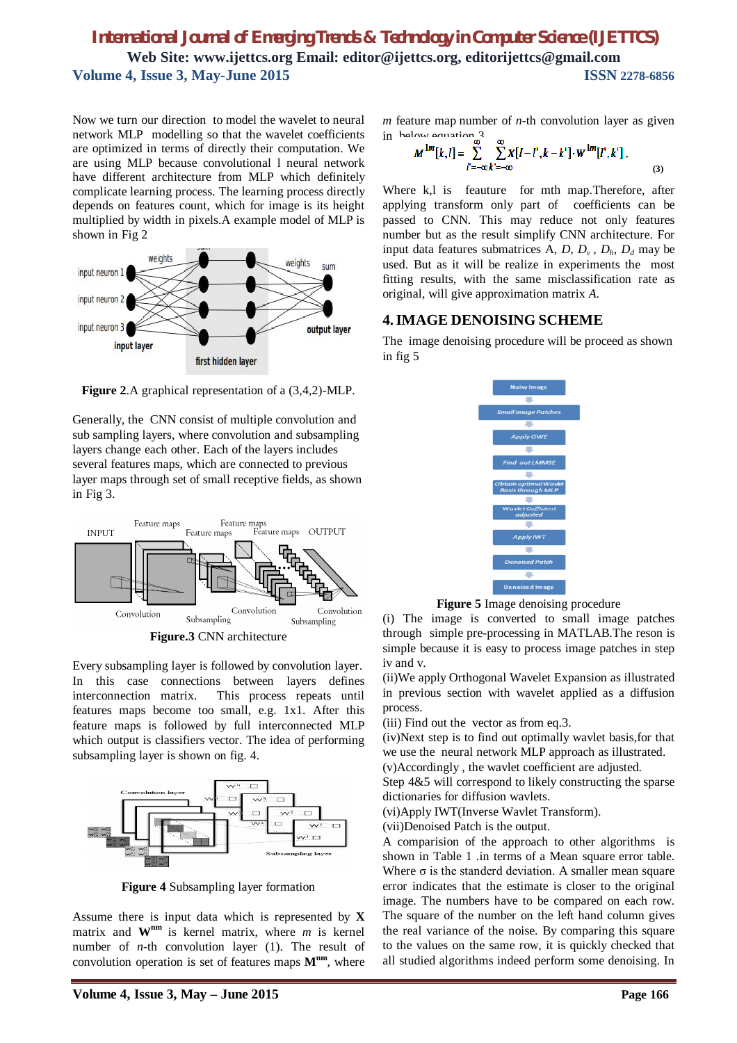Now we turn our direction to model the wavelet to neural network MLP modelling so that the wavelet coefficients are optimized in terms of directly their computation. We are using MLP because convolutional l neural network have different architecture from MLP which definitely complicate learning process. The learning process directly depends on features count, which for image is its height multiplied by width in pixels.A example model of MLP is shown in Fig 2



**Figure 2**.A graphical representation of a (3,4,2)-MLP.

Generally, the CNN consist of multiple convolution and sub sampling layers, where convolution and subsampling layers change each other. Each of the layers includes several features maps, which are connected to previous layer maps through set of small receptive fields, as shown in Fig 3.



**Figure.3** CNN architecture

Every subsampling layer is followed by convolution layer. In this case connections between layers defines interconnection matrix. This process repeats until features maps become too small, e.g. 1x1. After this feature maps is followed by full interconnected MLP which output is classifiers vector. The idea of performing subsampling layer is shown on fig. 4.



**Figure 4** Subsampling layer formation

Assume there is input data which is represented by **X** matrix and  $W^{nm}$  is kernel matrix, where *m* is kernel number of *n*-th convolution layer (1). The result of convolution operation is set of features maps **Mnm**, where *m* feature map number of *n*-th convolution layer as given in below equation 3

$$
M^{1m}[k,l] = \sum_{l'=-\infty}^{\infty} \sum_{k'=-\infty}^{\infty} X[l-l',k-k'] \cdot W^{1m}[l',k'],
$$
\n(3)

Where k,l is feauture for mth map.Therefore, after applying transform only part of coefficients can be passed to CNN. This may reduce not only features number but as the result simplify CNN architecture. For input data features submatrices A, D,  $D_v$ ,  $D_h$ ,  $D_d$  may be used. But as it will be realize in experiments the most fitting results, with the same misclassification rate as original, will give approximation matrix *A.*

## **4.IMAGE DENOISING SCHEME**

The image denoising procedure will be proceed as shown in fig 5



**Figure 5** Image denoising procedure

(i) The image is converted to small image patches through simple pre-processing in MATLAB.The reson is simple because it is easy to process image patches in step iv and v.

(ii)We apply Orthogonal Wavelet Expansion as illustrated in previous section with wavelet applied as a diffusion process.

(iii) Find out the vector as from eq.3.

(iv)Next step is to find out optimally wavlet basis,for that we use the neural network MLP approach as illustrated.

(v)Accordingly , the wavlet coefficient are adjusted.

Step 4&5 will correspond to likely constructing the sparse dictionaries for diffusion wavlets.

(vi)Apply IWT(Inverse Wavlet Transform).

(vii)Denoised Patch is the output.

A comparision of the approach to other algorithms is shown in Table 1 .in terms of a Mean square error table. Where  $\sigma$  is the standerd deviation. A smaller mean square error indicates that the estimate is closer to the original image. The numbers have to be compared on each row. The square of the number on the left hand column gives the real variance of the noise. By comparing this square to the values on the same row, it is quickly checked that all studied algorithms indeed perform some denoising. In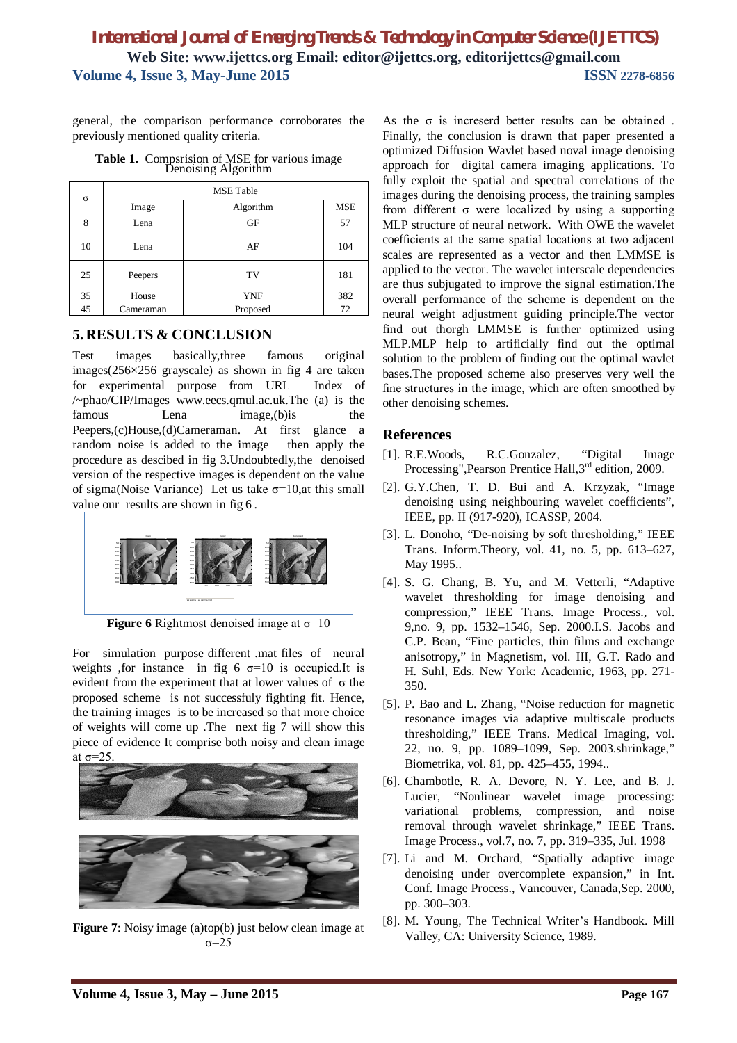general, the comparison performance corroborates the previously mentioned quality criteria.

**Table 1.** Compsrision of MSE for various image Denoising Algorithm

| $\sigma$ | <b>MSE</b> Table |            |     |
|----------|------------------|------------|-----|
|          | Image            | Algorithm  | MSE |
| 8        | Lena             | GF         | 57  |
| 10       | Lena             | AF         | 104 |
| 25       | Peepers          | TV         | 181 |
| 35       | House            | <b>YNF</b> | 382 |
| 45       | Cameraman        | Proposed   | 72  |

### **5. RESULTS & CONCLUSION**

Test images basically,three famous original images(256×256 grayscale) as shown in fig 4 are taken for experimental purpose from URL Index of /~phao/CIP/Images www.eecs.qmul.ac.uk.The (a) is the famous Lena image, (b) is the Peepers,(c)House,(d)Cameraman. At first glance a random noise is added to the image then apply the procedure as descibed in fig 3.Undoubtedly,the denoised version of the respective images is dependent on the value of sigma(Noise Variance) Let us take  $\sigma$ =10,at this small value our results are shown in fig 6 .



**Figure 6** Rightmost denoised image at σ=10

For simulation purpose different .mat files of neural weights , for instance in fig 6  $\sigma$ =10 is occupied. It is evident from the experiment that at lower values of σ the proposed scheme is not successfuly fighting fit. Hence, the training images is to be increased so that more choice of weights will come up .The next fig 7 will show this piece of evidence It comprise both noisy and clean image at  $\sigma=25$ 



**Figure 7**: Noisy image (a)top(b) just below clean image at σ=25

As the  $\sigma$  is increserd better results can be obtained. Finally, the conclusion is drawn that paper presented a optimized Diffusion Wavlet based noval image denoising approach for digital camera imaging applications. To fully exploit the spatial and spectral correlations of the images during the denoising process, the training samples from different σ were localized by using a supporting MLP structure of neural network. With OWE the wavelet coefficients at the same spatial locations at two adjacent scales are represented as a vector and then LMMSE is applied to the vector. The wavelet interscale dependencies are thus subjugated to improve the signal estimation.The overall performance of the scheme is dependent on the neural weight adjustment guiding principle.The vector find out thorgh LMMSE is further optimized using MLP.MLP help to artificially find out the optimal solution to the problem of finding out the optimal wavlet bases.The proposed scheme also preserves very well the fine structures in the image, which are often smoothed by other denoising schemes.

## **References**

- [1]. R.E.Woods, R.C.Gonzalez, "Digital Image Processing", Pearson Prentice Hall, 3<sup>rd</sup> edition, 2009.
- [2]. G.Y.Chen, T. D. Bui and A. Krzyzak, "Image denoising using neighbouring wavelet coefficients", IEEE, pp. II (917-920), ICASSP, 2004.
- [3]. L. Donoho, "De-noising by soft thresholding," IEEE Trans. Inform.Theory, vol. 41, no. 5, pp. 613–627, May 1995..
- [4]. S. G. Chang, B. Yu, and M. Vetterli, "Adaptive wavelet thresholding for image denoising and compression," IEEE Trans. Image Process., vol. 9,no. 9, pp. 1532–1546, Sep. 2000.I.S. Jacobs and C.P. Bean, "Fine particles, thin films and exchange anisotropy," in Magnetism, vol. III, G.T. Rado and H. Suhl, Eds. New York: Academic, 1963, pp. 271- 350.
- [5]. P. Bao and L. Zhang, "Noise reduction for magnetic resonance images via adaptive multiscale products thresholding," IEEE Trans. Medical Imaging, vol. 22, no. 9, pp. 1089–1099, Sep. 2003.shrinkage," Biometrika, vol. 81, pp. 425–455, 1994..
- [6]. Chambotle, R. A. Devore, N. Y. Lee, and B. J. Lucier, "Nonlinear wavelet image processing: variational problems, compression, and noise removal through wavelet shrinkage," IEEE Trans. Image Process., vol.7, no. 7, pp. 319–335, Jul. 1998
- [7]. Li and M. Orchard, "Spatially adaptive image denoising under overcomplete expansion," in Int. Conf. Image Process., Vancouver, Canada,Sep. 2000, pp. 300–303.
- [8]. M. Young, The Technical Writer's Handbook. Mill Valley, CA: University Science, 1989.